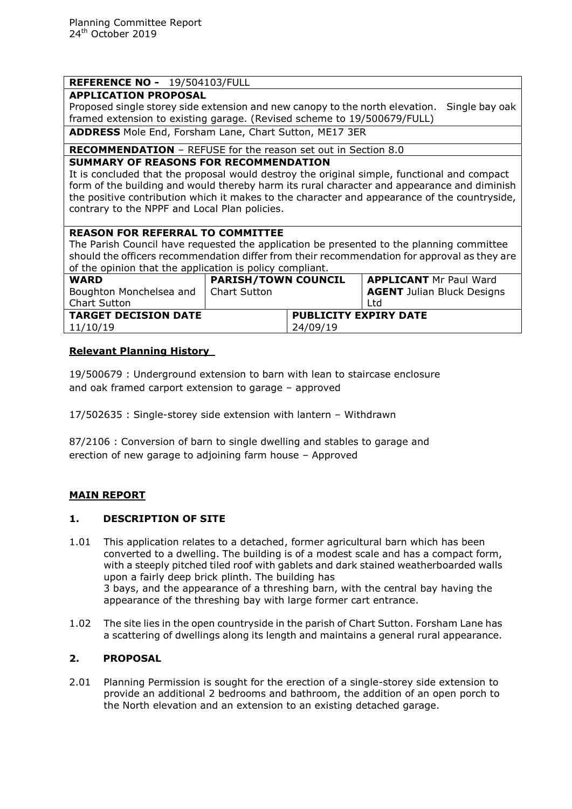# **REFERENCE NO -** 19/504103/FULL

## **APPLICATION PROPOSAL**

Proposed single storey side extension and new canopy to the north elevation. Single bay oak framed extension to existing garage. (Revised scheme to 19/500679/FULL)

**ADDRESS** Mole End, Forsham Lane, Chart Sutton, ME17 3ER

**RECOMMENDATION** – REFUSE for the reason set out in Section 8.0

### **SUMMARY OF REASONS FOR RECOMMENDATION**

It is concluded that the proposal would destroy the original simple, functional and compact form of the building and would thereby harm its rural character and appearance and diminish the positive contribution which it makes to the character and appearance of the countryside, contrary to the NPPF and Local Plan policies.

### **REASON FOR REFERRAL TO COMMITTEE**

The Parish Council have requested the application be presented to the planning committee should the officers recommendation differ from their recommendation for approval as they are of the opinion that the application is policy compliant.

| or and opinion and and upphousion to policy compliants |                            |                              |                                   |
|--------------------------------------------------------|----------------------------|------------------------------|-----------------------------------|
| <b>WARD</b>                                            | <b>PARISH/TOWN COUNCIL</b> |                              | <b>APPLICANT Mr Paul Ward</b>     |
| Boughton Monchelsea and   Chart Sutton                 |                            |                              | <b>AGENT</b> Julian Bluck Designs |
| <b>Chart Sutton</b>                                    |                            |                              | Ltd                               |
| <b>TARGET DECISION DATE</b>                            |                            | <b>PUBLICITY EXPIRY DATE</b> |                                   |
| 11/10/19                                               |                            | 24/09/19                     |                                   |
|                                                        |                            |                              |                                   |

### **Relevant Planning History**

19/500679 : Underground extension to barn with lean to staircase enclosure and oak framed carport extension to garage – approved

17/502635 : Single-storey side extension with lantern – Withdrawn

87/2106 : Conversion of barn to single dwelling and stables to garage and erection of new garage to adjoining farm house – Approved

# **MAIN REPORT**

### **1. DESCRIPTION OF SITE**

- 1.01 This application relates to a detached, former agricultural barn which has been converted to a dwelling. The building is of a modest scale and has a compact form, with a steeply pitched tiled roof with gablets and dark stained weatherboarded walls upon a fairly deep brick plinth. The building has 3 bays, and the appearance of a threshing barn, with the central bay having the appearance of the threshing bay with large former cart entrance.
- 1.02 The site lies in the open countryside in the parish of Chart Sutton. Forsham Lane has a scattering of dwellings along its length and maintains a general rural appearance.

### **2. PROPOSAL**

2.01 Planning Permission is sought for the erection of a single-storey side extension to provide an additional 2 bedrooms and bathroom, the addition of an open porch to the North elevation and an extension to an existing detached garage.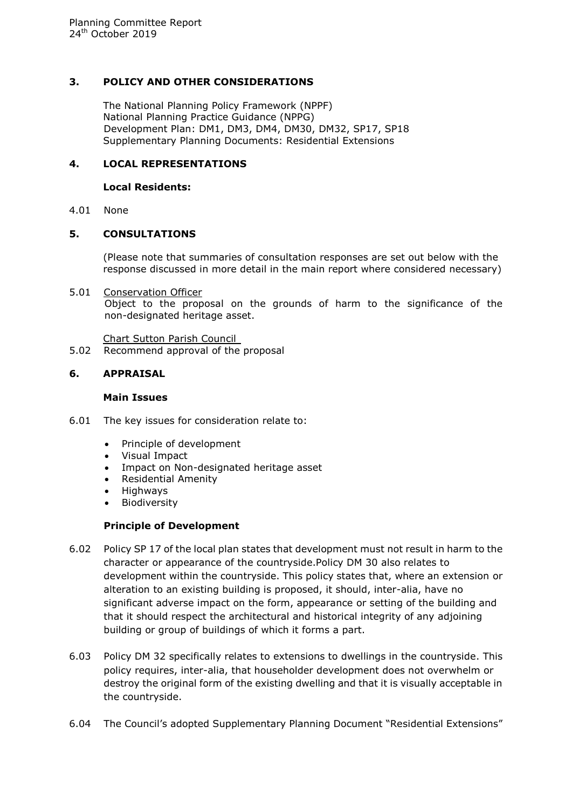### **3. POLICY AND OTHER CONSIDERATIONS**

The National Planning Policy Framework (NPPF) National Planning Practice Guidance (NPPG) Development Plan: DM1, DM3, DM4, DM30, DM32, SP17, SP18 Supplementary Planning Documents: Residential Extensions

## **4. LOCAL REPRESENTATIONS**

#### **Local Residents:**

4.01 None

### **5. CONSULTATIONS**

(Please note that summaries of consultation responses are set out below with the response discussed in more detail in the main report where considered necessary)

5.01 Conservation Officer Object to the proposal on the grounds of harm to the significance of the non-designated heritage asset.

Chart Sutton Parish Council

5.02 Recommend approval of the proposal

### **6. APPRAISAL**

#### **Main Issues**

- 6.01 The key issues for consideration relate to:
	- Principle of development
	- Visual Impact
	- Impact on Non-designated heritage asset
	- Residential Amenity
	- **Highways**
	- Biodiversity

### **Principle of Development**

- 6.02 Policy SP 17 of the local plan states that development must not result in harm to the character or appearance of the countryside.Policy DM 30 also relates to development within the countryside. This policy states that, where an extension or alteration to an existing building is proposed, it should, inter-alia, have no significant adverse impact on the form, appearance or setting of the building and that it should respect the architectural and historical integrity of any adjoining building or group of buildings of which it forms a part.
- 6.03 Policy DM 32 specifically relates to extensions to dwellings in the countryside. This policy requires, inter-alia, that householder development does not overwhelm or destroy the original form of the existing dwelling and that it is visually acceptable in the countryside.
- 6.04 The Council's adopted Supplementary Planning Document "Residential Extensions"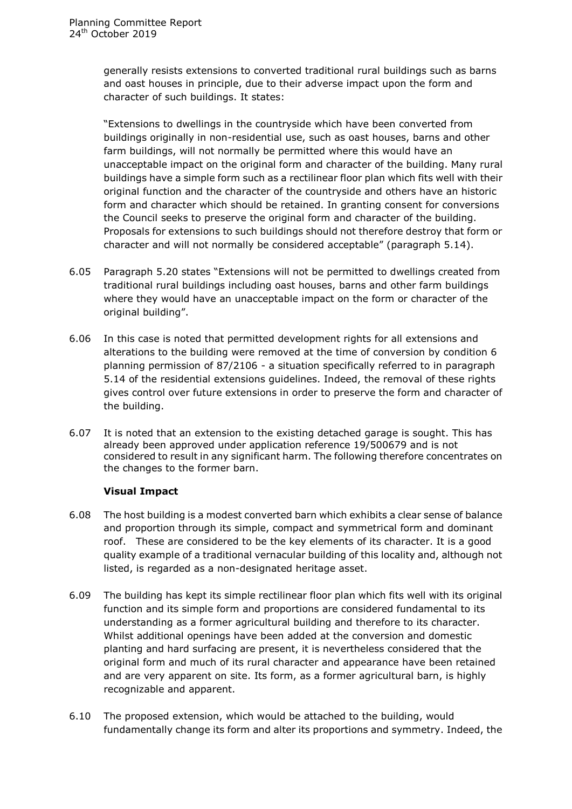generally resists extensions to converted traditional rural buildings such as barns and oast houses in principle, due to their adverse impact upon the form and character of such buildings. It states:

"Extensions to dwellings in the countryside which have been converted from buildings originally in non-residential use, such as oast houses, barns and other farm buildings, will not normally be permitted where this would have an unacceptable impact on the original form and character of the building. Many rural buildings have a simple form such as a rectilinear floor plan which fits well with their original function and the character of the countryside and others have an historic form and character which should be retained. In granting consent for conversions the Council seeks to preserve the original form and character of the building. Proposals for extensions to such buildings should not therefore destroy that form or character and will not normally be considered acceptable" (paragraph 5.14).

- 6.05 Paragraph 5.20 states "Extensions will not be permitted to dwellings created from traditional rural buildings including oast houses, barns and other farm buildings where they would have an unacceptable impact on the form or character of the original building".
- 6.06 In this case is noted that permitted development rights for all extensions and alterations to the building were removed at the time of conversion by condition 6 planning permission of 87/2106 - a situation specifically referred to in paragraph 5.14 of the residential extensions guidelines. Indeed, the removal of these rights gives control over future extensions in order to preserve the form and character of the building.
- 6.07 It is noted that an extension to the existing detached garage is sought. This has already been approved under application reference 19/500679 and is not considered to result in any significant harm. The following therefore concentrates on the changes to the former barn.

### **Visual Impact**

- 6.08 The host building is a modest converted barn which exhibits a clear sense of balance and proportion through its simple, compact and symmetrical form and dominant roof. These are considered to be the key elements of its character. It is a good quality example of a traditional vernacular building of this locality and, although not listed, is regarded as a non-designated heritage asset.
- 6.09 The building has kept its simple rectilinear floor plan which fits well with its original function and its simple form and proportions are considered fundamental to its understanding as a former agricultural building and therefore to its character. Whilst additional openings have been added at the conversion and domestic planting and hard surfacing are present, it is nevertheless considered that the original form and much of its rural character and appearance have been retained and are very apparent on site. Its form, as a former agricultural barn, is highly recognizable and apparent.
- 6.10 The proposed extension, which would be attached to the building, would fundamentally change its form and alter its proportions and symmetry. Indeed, the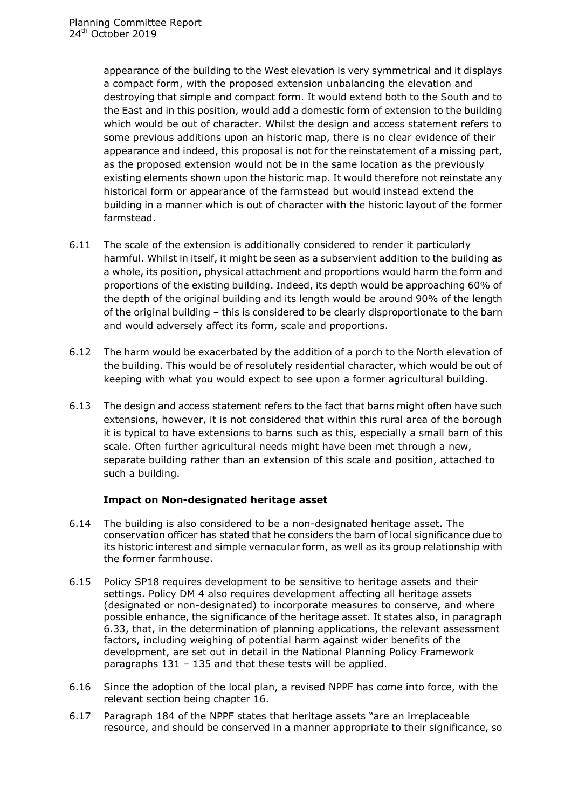appearance of the building to the West elevation is very symmetrical and it displays a compact form, with the proposed extension unbalancing the elevation and destroying that simple and compact form. It would extend both to the South and to the East and in this position, would add a domestic form of extension to the building which would be out of character. Whilst the design and access statement refers to some previous additions upon an historic map, there is no clear evidence of their appearance and indeed, this proposal is not for the reinstatement of a missing part, as the proposed extension would not be in the same location as the previously existing elements shown upon the historic map. It would therefore not reinstate any historical form or appearance of the farmstead but would instead extend the building in a manner which is out of character with the historic layout of the former farmstead.

- 6.11 The scale of the extension is additionally considered to render it particularly harmful. Whilst in itself, it might be seen as a subservient addition to the building as a whole, its position, physical attachment and proportions would harm the form and proportions of the existing building. Indeed, its depth would be approaching 60% of the depth of the original building and its length would be around 90% of the length of the original building – this is considered to be clearly disproportionate to the barn and would adversely affect its form, scale and proportions.
- 6.12 The harm would be exacerbated by the addition of a porch to the North elevation of the building. This would be of resolutely residential character, which would be out of keeping with what you would expect to see upon a former agricultural building.
- 6.13 The design and access statement refers to the fact that barns might often have such extensions, however, it is not considered that within this rural area of the borough it is typical to have extensions to barns such as this, especially a small barn of this scale. Often further agricultural needs might have been met through a new, separate building rather than an extension of this scale and position, attached to such a building.

### **Impact on Non-designated heritage asset**

- 6.14 The building is also considered to be a non-designated heritage asset. The conservation officer has stated that he considers the barn of local significance due to its historic interest and simple vernacular form, as well as its group relationship with the former farmhouse.
- 6.15 Policy SP18 requires development to be sensitive to heritage assets and their settings. Policy DM 4 also requires development affecting all heritage assets (designated or non-designated) to incorporate measures to conserve, and where possible enhance, the significance of the heritage asset. It states also, in paragraph 6.33, that, in the determination of planning applications, the relevant assessment factors, including weighing of potential harm against wider benefits of the development, are set out in detail in the National Planning Policy Framework paragraphs 131 – 135 and that these tests will be applied.
- 6.16 Since the adoption of the local plan, a revised NPPF has come into force, with the relevant section being chapter 16.
- 6.17 Paragraph 184 of the NPPF states that heritage assets "are an irreplaceable resource, and should be conserved in a manner appropriate to their significance, so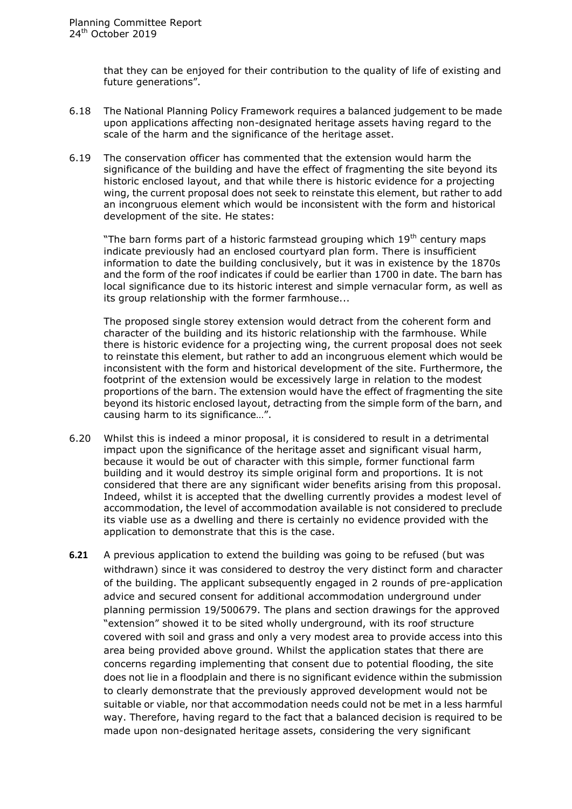that they can be enjoyed for their contribution to the quality of life of existing and future generations".

- 6.18 The National Planning Policy Framework requires a balanced judgement to be made upon applications affecting non-designated heritage assets having regard to the scale of the harm and the significance of the heritage asset.
- 6.19 The conservation officer has commented that the extension would harm the significance of the building and have the effect of fragmenting the site beyond its historic enclosed layout, and that while there is historic evidence for a projecting wing, the current proposal does not seek to reinstate this element, but rather to add an incongruous element which would be inconsistent with the form and historical development of the site. He states:

"The barn forms part of a historic farmstead grouping which  $19<sup>th</sup>$  century maps indicate previously had an enclosed courtyard plan form. There is insufficient information to date the building conclusively, but it was in existence by the 1870s and the form of the roof indicates if could be earlier than 1700 in date. The barn has local significance due to its historic interest and simple vernacular form, as well as its group relationship with the former farmhouse...

The proposed single storey extension would detract from the coherent form and character of the building and its historic relationship with the farmhouse. While there is historic evidence for a projecting wing, the current proposal does not seek to reinstate this element, but rather to add an incongruous element which would be inconsistent with the form and historical development of the site. Furthermore, the footprint of the extension would be excessively large in relation to the modest proportions of the barn. The extension would have the effect of fragmenting the site beyond its historic enclosed layout, detracting from the simple form of the barn, and causing harm to its significance…".

- 6.20 Whilst this is indeed a minor proposal, it is considered to result in a detrimental impact upon the significance of the heritage asset and significant visual harm, because it would be out of character with this simple, former functional farm building and it would destroy its simple original form and proportions. It is not considered that there are any significant wider benefits arising from this proposal. Indeed, whilst it is accepted that the dwelling currently provides a modest level of accommodation, the level of accommodation available is not considered to preclude its viable use as a dwelling and there is certainly no evidence provided with the application to demonstrate that this is the case.
- **6.21** A previous application to extend the building was going to be refused (but was withdrawn) since it was considered to destroy the very distinct form and character of the building. The applicant subsequently engaged in 2 rounds of pre-application advice and secured consent for additional accommodation underground under planning permission 19/500679. The plans and section drawings for the approved "extension" showed it to be sited wholly underground, with its roof structure covered with soil and grass and only a very modest area to provide access into this area being provided above ground. Whilst the application states that there are concerns regarding implementing that consent due to potential flooding, the site does not lie in a floodplain and there is no significant evidence within the submission to clearly demonstrate that the previously approved development would not be suitable or viable, nor that accommodation needs could not be met in a less harmful way. Therefore, having regard to the fact that a balanced decision is required to be made upon non-designated heritage assets, considering the very significant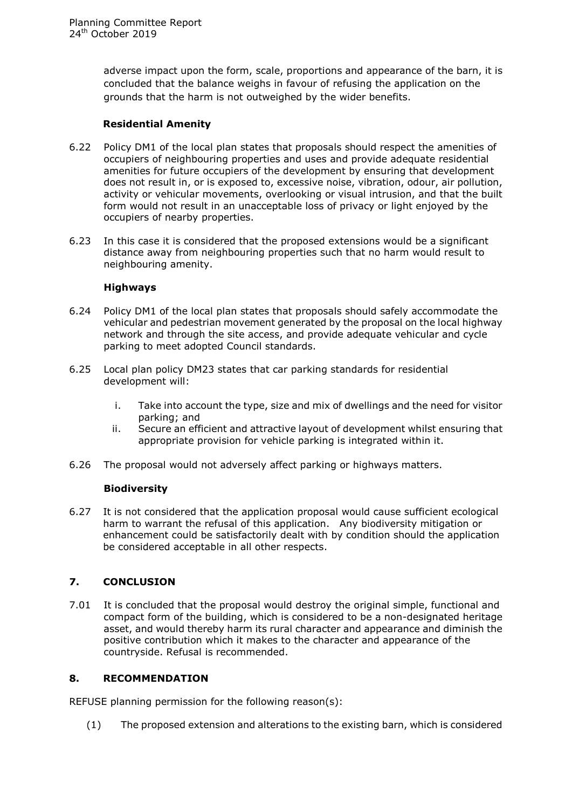adverse impact upon the form, scale, proportions and appearance of the barn, it is concluded that the balance weighs in favour of refusing the application on the grounds that the harm is not outweighed by the wider benefits.

### **Residential Amenity**

- 6.22 Policy DM1 of the local plan states that proposals should respect the amenities of occupiers of neighbouring properties and uses and provide adequate residential amenities for future occupiers of the development by ensuring that development does not result in, or is exposed to, excessive noise, vibration, odour, air pollution, activity or vehicular movements, overlooking or visual intrusion, and that the built form would not result in an unacceptable loss of privacy or light enjoyed by the occupiers of nearby properties.
- 6.23 In this case it is considered that the proposed extensions would be a significant distance away from neighbouring properties such that no harm would result to neighbouring amenity.

### **Highways**

- 6.24 Policy DM1 of the local plan states that proposals should safely accommodate the vehicular and pedestrian movement generated by the proposal on the local highway network and through the site access, and provide adequate vehicular and cycle parking to meet adopted Council standards.
- 6.25 Local plan policy DM23 states that car parking standards for residential development will:
	- i. Take into account the type, size and mix of dwellings and the need for visitor parking; and
	- ii. Secure an efficient and attractive layout of development whilst ensuring that appropriate provision for vehicle parking is integrated within it.
- 6.26 The proposal would not adversely affect parking or highways matters.

### **Biodiversity**

6.27 It is not considered that the application proposal would cause sufficient ecological harm to warrant the refusal of this application. Any biodiversity mitigation or enhancement could be satisfactorily dealt with by condition should the application be considered acceptable in all other respects.

### **7. CONCLUSION**

7.01 It is concluded that the proposal would destroy the original simple, functional and compact form of the building, which is considered to be a non-designated heritage asset, and would thereby harm its rural character and appearance and diminish the positive contribution which it makes to the character and appearance of the countryside. Refusal is recommended.

### **8. RECOMMENDATION**

REFUSE planning permission for the following reason(s):

(1) The proposed extension and alterations to the existing barn, which is considered